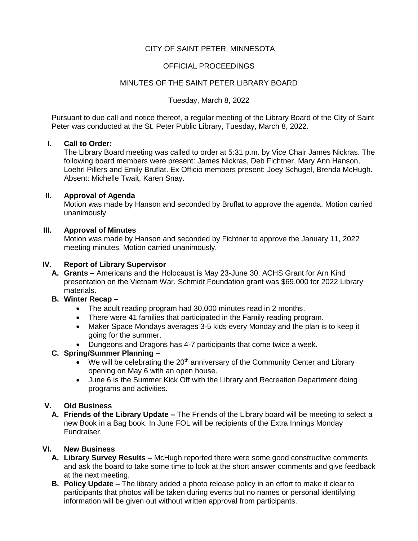# CITY OF SAINT PETER, MINNESOTA

## OFFICIAL PROCEEDINGS

### MINUTES OF THE SAINT PETER LIBRARY BOARD

#### Tuesday, March 8, 2022

Pursuant to due call and notice thereof, a regular meeting of the Library Board of the City of Saint Peter was conducted at the St. Peter Public Library, Tuesday, March 8, 2022.

#### **I. Call to Order:**

The Library Board meeting was called to order at 5:31 p.m. by Vice Chair James Nickras. The following board members were present: James Nickras, Deb Fichtner, Mary Ann Hanson, Loehrl Pillers and Emily Bruflat. Ex Officio members present: Joey Schugel, Brenda McHugh. Absent: Michelle Twait, Karen Snay.

### **II. Approval of Agenda**

Motion was made by Hanson and seconded by Bruflat to approve the agenda. Motion carried unanimously.

## **III. Approval of Minutes**

Motion was made by Hanson and seconded by Fichtner to approve the January 11, 2022 meeting minutes. Motion carried unanimously.

#### **IV. Report of Library Supervisor**

- **A. Grants –** Americans and the Holocaust is May 23-June 30. ACHS Grant for Arn Kind presentation on the Vietnam War. Schmidt Foundation grant was \$69,000 for 2022 Library materials.
- **B. Winter Recap –**
	- The adult reading program had 30,000 minutes read in 2 months.
	- There were 41 families that participated in the Family reading program.
	- Maker Space Mondays averages 3-5 kids every Monday and the plan is to keep it going for the summer.
	- Dungeons and Dragons has 4-7 participants that come twice a week.

## **C. Spring/Summer Planning –**

- $\bullet$  We will be celebrating the 20<sup>th</sup> anniversary of the Community Center and Library opening on May 6 with an open house.
- June 6 is the Summer Kick Off with the Library and Recreation Department doing programs and activities.

## **V. Old Business**

**A. Friends of the Library Update –** The Friends of the Library board will be meeting to select a new Book in a Bag book. In June FOL will be recipients of the Extra Innings Monday Fundraiser.

#### **VI. New Business**

- **A. Library Survey Results –** McHugh reported there were some good constructive comments and ask the board to take some time to look at the short answer comments and give feedback at the next meeting.
- **B. Policy Update –** The library added a photo release policy in an effort to make it clear to participants that photos will be taken during events but no names or personal identifying information will be given out without written approval from participants.